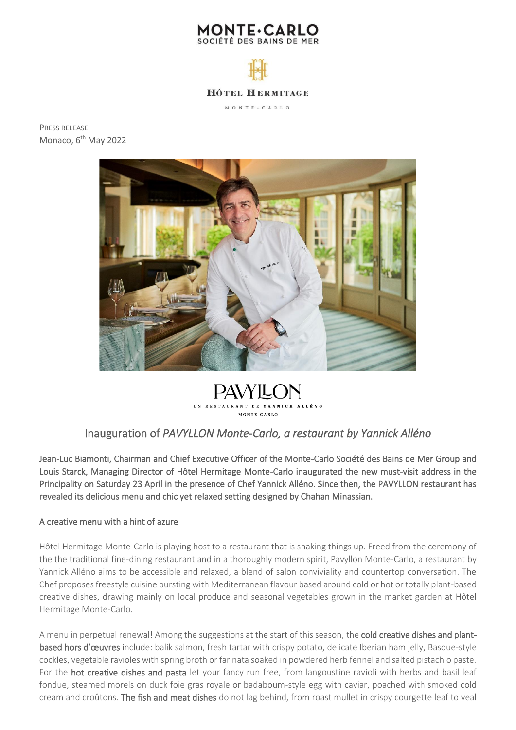



PRESS RELEASE Monaco, 6<sup>th</sup> May 2022



**PAVYILON** UN REST MONTE-CARLO

# Inauguration of *PAVYLLON Monte-Carlo, a restaurant by Yannick Alléno*

Jean-Luc Biamonti, Chairman and Chief Executive Officer of the Monte-Carlo Société des Bains de Mer Group and Louis Starck, Managing Director of Hôtel Hermitage Monte-Carlo inaugurated the new must-visit address in the Principality on Saturday 23 April in the presence of Chef Yannick Alléno. Since then, the PAVYLLON restaurant has revealed its delicious menu and chic yet relaxed setting designed by Chahan Minassian.

## A creative menu with a hint of azure

Hôtel Hermitage Monte-Carlo is playing host to a restaurant that is shaking things up. Freed from the ceremony of the the traditional fine-dining restaurant and in a thoroughly modern spirit, Pavyllon Monte-Carlo, a restaurant by Yannick Alléno aims to be accessible and relaxed, a blend of salon conviviality and countertop conversation. The Chef proposes freestyle cuisine bursting with Mediterranean flavour based around cold or hot or totally plant-based creative dishes, drawing mainly on local produce and seasonal vegetables grown in the market garden at Hôtel Hermitage Monte-Carlo.

A menu in perpetual renewal! Among the suggestions at the start of this season, the cold creative dishes and plantbased hors d'œuvres include: balik salmon, fresh tartar with crispy potato, delicate Iberian ham jelly, Basque-style cockles, vegetable ravioles with spring broth or farinata soaked in powdered herb fennel and salted pistachio paste. For the hot creative dishes and pasta let your fancy run free, from langoustine ravioli with herbs and basil leaf fondue, steamed morels on duck foie gras royale or badaboum-style egg with caviar, poached with smoked cold cream and croûtons. The fish and meat dishes do not lag behind, from roast mullet in crispy courgette leaf to veal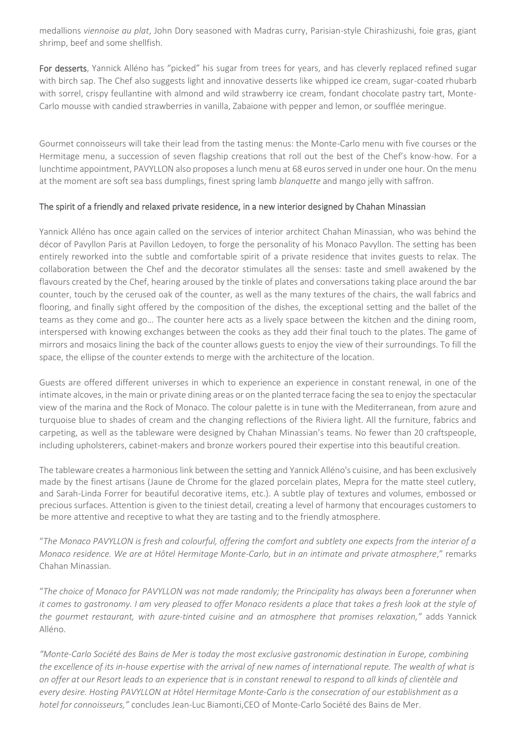medallions *viennoise au plat*, John Dory seasoned with Madras curry, Parisian-style Chirashizushi, foie gras, giant shrimp, beef and some shellfish.

For desserts, Yannick Alléno has "picked" his sugar from trees for years, and has cleverly replaced refined sugar with birch sap. The Chef also suggests light and innovative desserts like whipped ice cream, sugar-coated rhubarb with sorrel, crispy feullantine with almond and wild strawberry ice cream, fondant chocolate pastry tart, Monte-Carlo mousse with candied strawberries in vanilla, Zabaione with pepper and lemon, or soufflée meringue.

Gourmet connoisseurs will take their lead from the tasting menus: the Monte-Carlo menu with five courses or the Hermitage menu, a succession of seven flagship creations that roll out the best of the Chef's know-how. For a lunchtime appointment, PAVYLLON also proposes a lunch menu at 68 euros served in under one hour. On the menu at the moment are soft sea bass dumplings, finest spring lamb *blanquette* and mango jelly with saffron.

# The spirit of a friendly and relaxed private residence, in a new interior designed by Chahan Minassian

Yannick Alléno has once again called on the services of interior architect Chahan Minassian, who was behind the décor of Pavyllon Paris at Pavillon Ledoyen, to forge the personality of his Monaco Pavyllon. The setting has been entirely reworked into the subtle and comfortable spirit of a private residence that invites guests to relax. The collaboration between the Chef and the decorator stimulates all the senses: taste and smell awakened by the flavours created by the Chef, hearing aroused by the tinkle of plates and conversations taking place around the bar counter, touch by the cerused oak of the counter, as well as the many textures of the chairs, the wall fabrics and flooring, and finally sight offered by the composition of the dishes, the exceptional setting and the ballet of the teams as they come and go… The counter here acts as a lively space between the kitchen and the dining room, interspersed with knowing exchanges between the cooks as they add their final touch to the plates. The game of mirrors and mosaics lining the back of the counter allows guests to enjoy the view of their surroundings. To fill the space, the ellipse of the counter extends to merge with the architecture of the location.

Guests are offered different universes in which to experience an experience in constant renewal, in one of the intimate alcoves, in the main or private dining areas or on the planted terrace facing the sea to enjoy the spectacular view of the marina and the Rock of Monaco. The colour palette is in tune with the Mediterranean, from azure and turquoise blue to shades of cream and the changing reflections of the Riviera light. All the furniture, fabrics and carpeting, as well as the tableware were designed by Chahan Minassian's teams. No fewer than 20 craftspeople, including upholsterers, cabinet-makers and bronze workers poured their expertise into this beautiful creation.

The tableware creates a harmonious link between the setting and Yannick Alléno's cuisine, and has been exclusively made by the finest artisans (Jaune de Chrome for the glazed porcelain plates, Mepra for the matte steel cutlery, and Sarah-Linda Forrer for beautiful decorative items, etc.). A subtle play of textures and volumes, embossed or precious surfaces. Attention is given to the tiniest detail, creating a level of harmony that encourages customers to be more attentive and receptive to what they are tasting and to the friendly atmosphere.

"*The Monaco PAVYLLON is fresh and colourful, offering the comfort and subtlety one expects from the interior of a Monaco residence. We are at Hôtel Hermitage Monte-Carlo, but in an intimate and private atmosphere*," remarks Chahan Minassian.

"*The choice of Monaco for PAVYLLON was not made randomly; the Principality has always been a forerunner when it comes to gastronomy. I am very pleased to offer Monaco residents a place that takes a fresh look at the style of the gourmet restaurant, with azure-tinted cuisine and an atmosphere that promises relaxation,"* adds Yannick Alléno.

*"Monte-Carlo Société des Bains de Mer is today the most exclusive gastronomic destination in Europe, combining*  the excellence of its in-house expertise with the arrival of new names of international repute. The wealth of what is *on offer at our Resort leads to an experience that is in constant renewal to respond to all kinds of clientèle and every desire. Hosting PAVYLLON at Hôtel Hermitage Monte-Carlo is the consecration of our establishment as a hotel for connoisseurs,"* concludes Jean-Luc Biamonti,CEO of Monte-Carlo Société des Bains de Mer.